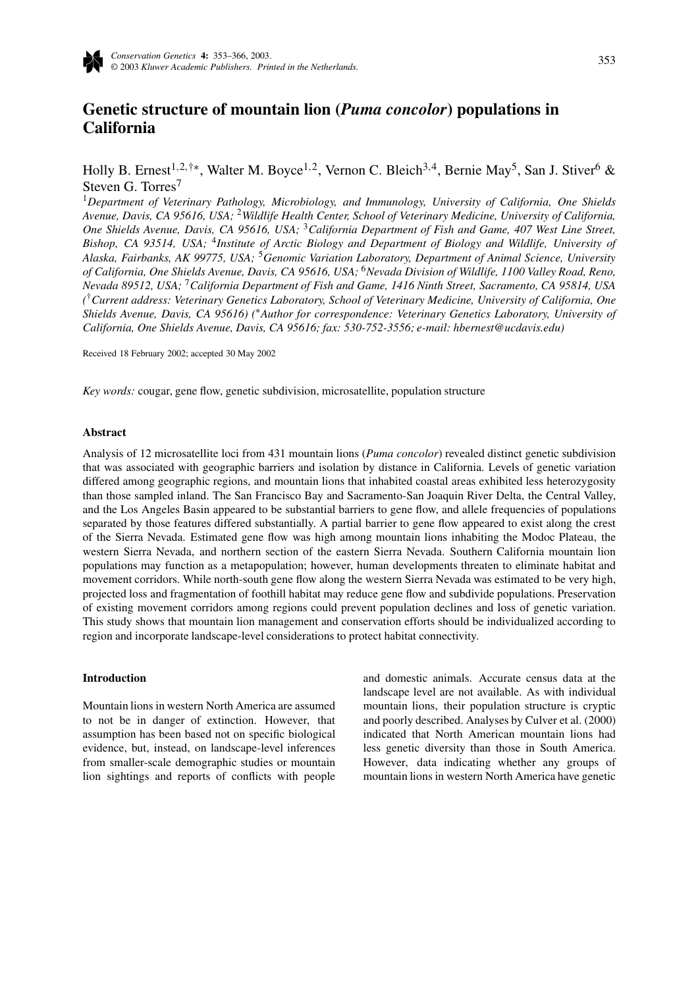

# Conservation Genetics 4: 353–366, 2003.<br> **Genetic** structure of mountain lion (*Puma concolor*) populations in<br>
Genetic structure of mountain lion (*Puma concolor*) populations in **California**

Holly B. Ernest<sup>1,2,†∗</sup>, Walter M. Boyce<sup>1,2</sup>, Vernon C. Bleich<sup>3,4</sup>, Bernie May<sup>5</sup>, San J. Stiver<sup>6</sup> & Steven G. Torres<sup>7</sup>

<sup>1</sup>*Department of Veterinary Pathology, Microbiology, and Immunology, University of California, One Shields Avenue, Davis, CA 95616, USA;* <sup>2</sup>*Wildlife Health Center, School of Veterinary Medicine, University of California, One Shields Avenue, Davis, CA 95616, USA;* <sup>3</sup>*California Department of Fish and Game, 407 West Line Street, Bishop, CA 93514, USA;* <sup>4</sup>*Institute of Arctic Biology and Department of Biology and Wildlife, University of Alaska, Fairbanks, AK 99775, USA;* <sup>5</sup>*Genomic Variation Laboratory, Department of Animal Science, University* of California, One Shields Avenue, Davis, CA 95616, USA; <sup>6</sup>Nevada Division of Wildlife, 1100 Valley Road, Reno, *Nevada 89512, USA;* <sup>7</sup>*California Department of Fish and Game, 1416 Ninth Street, Sacramento, CA 95814, USA (* †*Current address: Veterinary Genetics Laboratory, School of Veterinary Medicine, University of California, One Shields Avenue, Davis, CA 95616) (* ∗*Author for correspondence: Veterinary Genetics Laboratory, University of California, One Shields Avenue, Davis, CA 95616; fax: 530-752-3556; e-mail: [hbernest@ucdavis.edu\)](mailto:hbernest@ucdavis.edu)*

Received 18 February 2002; accepted 30 May 2002

*Key words:* cougar, gene flow, genetic subdivision, microsatellite, population structure

### **Abstract**

Analysis of 12 microsatellite loci from 431 mountain lions (*Puma concolor*) revealed distinct genetic subdivision that was associated with geographic barriers and isolation by distance in California. Levels of genetic variation differed among geographic regions, and mountain lions that inhabited coastal areas exhibited less heterozygosity than those sampled inland. The San Francisco Bay and Sacramento-San Joaquin River Delta, the Central Valley, and the Los Angeles Basin appeared to be substantial barriers to gene flow, and allele frequencies of populations separated by those features differed substantially. A partial barrier to gene flow appeared to exist along the crest of the Sierra Nevada. Estimated gene flow was high among mountain lions inhabiting the Modoc Plateau, the western Sierra Nevada, and northern section of the eastern Sierra Nevada. Southern California mountain lion populations may function as a metapopulation; however, human developments threaten to eliminate habitat and movement corridors. While north-south gene flow along the western Sierra Nevada was estimated to be very high, projected loss and fragmentation of foothill habitat may reduce gene flow and subdivide populations. Preservation of existing movement corridors among regions could prevent population declines and loss of genetic variation. This study shows that mountain lion management and conservation efforts should be individualized according to region and incorporate landscape-level considerations to protect habitat connectivity.

### **Introduction**

Mountain lions in western North America are assumed to not be in danger of extinction. However, that assumption has been based not on specific biological evidence, but, instead, on landscape-level inferences from smaller-scale demographic studies or mountain lion sightings and reports of conflicts with people and domestic animals. Accurate census data at the landscape level are not available. As with individual mountain lions, their population structure is cryptic and poorly described. Analyses by Culver et al. (2000) indicated that North American mountain lions had less genetic diversity than those in South America. However, data indicating whether any groups of mountain lions in western North America have genetic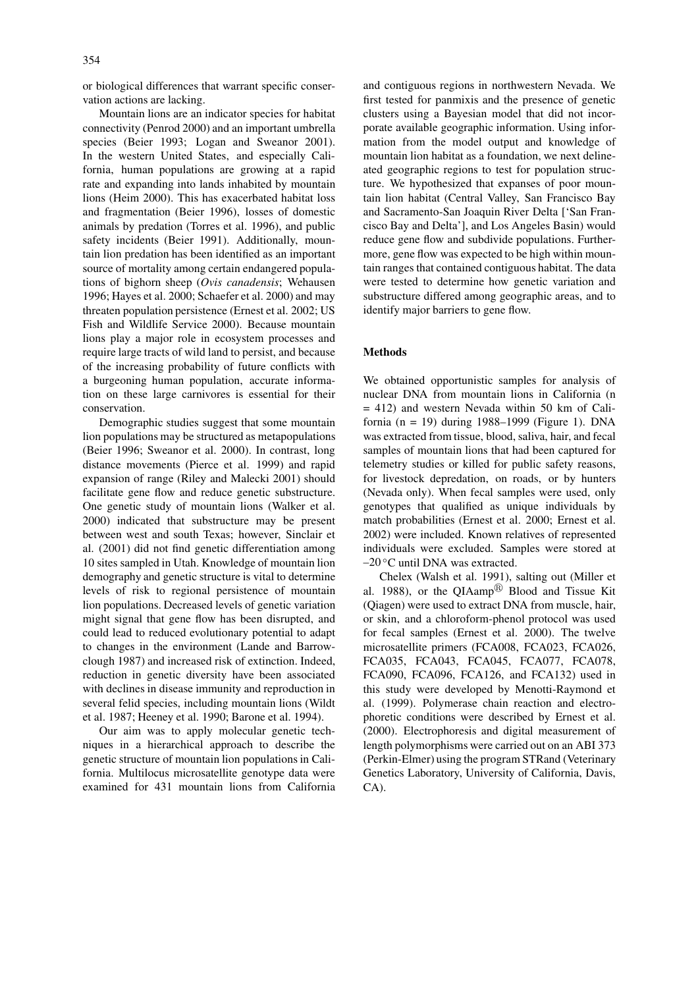or biological differences that warrant specific conservation actions are lacking.

Mountain lions are an indicator species for habitat connectivity (Penrod 2000) and an important umbrella species (Beier 1993; Logan and Sweanor 2001). In the western United States, and especially California, human populations are growing at a rapid rate and expanding into lands inhabited by mountain lions (Heim 2000). This has exacerbated habitat loss and fragmentation (Beier 1996), losses of domestic animals by predation (Torres et al. 1996), and public safety incidents (Beier 1991). Additionally, mountain lion predation has been identified as an important source of mortality among certain endangered populations of bighorn sheep (*Ovis canadensis*; Wehausen 1996; Hayes et al. 2000; Schaefer et al. 2000) and may threaten population persistence (Ernest et al. 2002; US Fish and Wildlife Service 2000). Because mountain lions play a major role in ecosystem processes and require large tracts of wild land to persist, and because of the increasing probability of future conflicts with a burgeoning human population, accurate information on these large carnivores is essential for their conservation.

Demographic studies suggest that some mountain lion populations may be structured as metapopulations (Beier 1996; Sweanor et al. 2000). In contrast, long distance movements (Pierce et al. 1999) and rapid expansion of range (Riley and Malecki 2001) should facilitate gene flow and reduce genetic substructure. One genetic study of mountain lions (Walker et al. 2000) indicated that substructure may be present between west and south Texas; however, Sinclair et al. (2001) did not find genetic differentiation among 10 sites sampled in Utah. Knowledge of mountain lion demography and genetic structure is vital to determine levels of risk to regional persistence of mountain lion populations. Decreased levels of genetic variation might signal that gene flow has been disrupted, and could lead to reduced evolutionary potential to adapt to changes in the environment (Lande and Barrowclough 1987) and increased risk of extinction. Indeed, reduction in genetic diversity have been associated with declines in disease immunity and reproduction in several felid species, including mountain lions (Wildt et al. 1987; Heeney et al. 1990; Barone et al. 1994).

Our aim was to apply molecular genetic techniques in a hierarchical approach to describe the genetic structure of mountain lion populations in California. Multilocus microsatellite genotype data were examined for 431 mountain lions from California

and contiguous regions in northwestern Nevada. We first tested for panmixis and the presence of genetic clusters using a Bayesian model that did not incorporate available geographic information. Using information from the model output and knowledge of mountain lion habitat as a foundation, we next delineated geographic regions to test for population structure. We hypothesized that expanses of poor mountain lion habitat (Central Valley, San Francisco Bay and Sacramento-San Joaquin River Delta ['San Francisco Bay and Delta'], and Los Angeles Basin) would reduce gene flow and subdivide populations. Furthermore, gene flow was expected to be high within mountain ranges that contained contiguous habitat. The data were tested to determine how genetic variation and substructure differed among geographic areas, and to identify major barriers to gene flow.

# **Methods**

We obtained opportunistic samples for analysis of nuclear DNA from mountain lions in California (n  $= 412$ ) and western Nevada within 50 km of California (n = 19) during  $1988-1999$  (Figure 1). DNA was extracted from tissue, blood, saliva, hair, and fecal samples of mountain lions that had been captured for telemetry studies or killed for public safety reasons, for livestock depredation, on roads, or by hunters (Nevada only). When fecal samples were used, only genotypes that qualified as unique individuals by match probabilities (Ernest et al. 2000; Ernest et al. 2002) were included. Known relatives of represented individuals were excluded. Samples were stored at  $-20$  °C until DNA was extracted.

Chelex (Walsh et al. 1991), salting out (Miller et al. 1988), or the QIAamp<sup>®</sup> Blood and Tissue Kit (Qiagen) were used to extract DNA from muscle, hair, or skin, and a chloroform-phenol protocol was used for fecal samples (Ernest et al. 2000). The twelve microsatellite primers (FCA008, FCA023, FCA026, FCA035, FCA043, FCA045, FCA077, FCA078, FCA090, FCA096, FCA126, and FCA132) used in this study were developed by Menotti-Raymond et al. (1999). Polymerase chain reaction and electrophoretic conditions were described by Ernest et al. (2000). Electrophoresis and digital measurement of length polymorphisms were carried out on an ABI 373 (Perkin-Elmer) using the program STRand (Veterinary Genetics Laboratory, University of California, Davis, CA).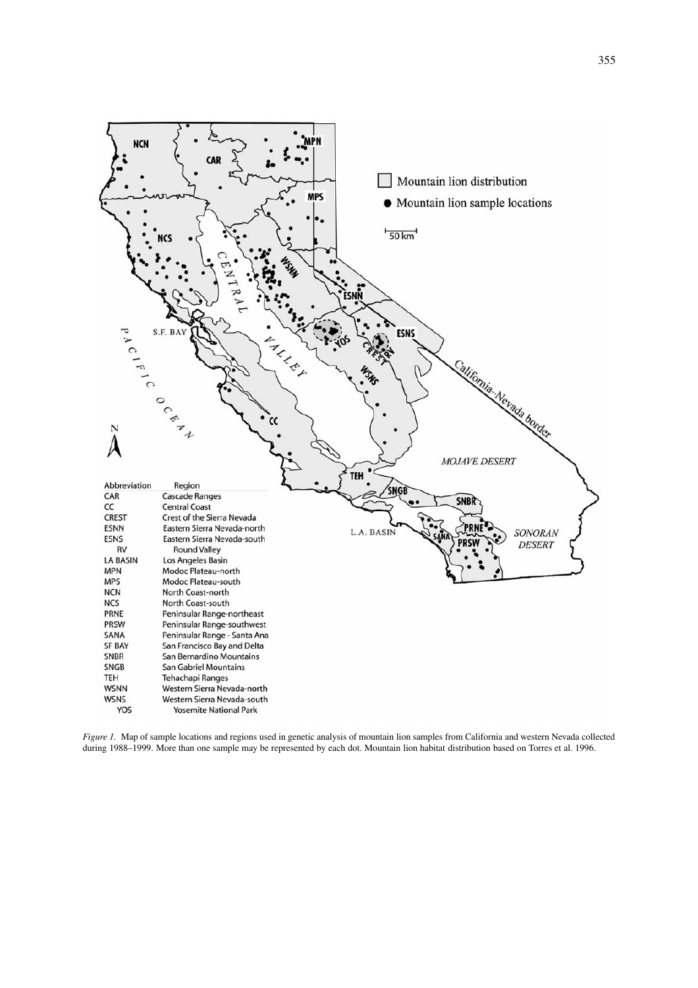

*Figure 1.* Map of sample locations and regions used in genetic analysis of mountain lion samples from California and western Nevada collected during 1988–1999. More than one sample may be represented by each dot. Mountain lion habitat distribution based on Torres et al. 1996.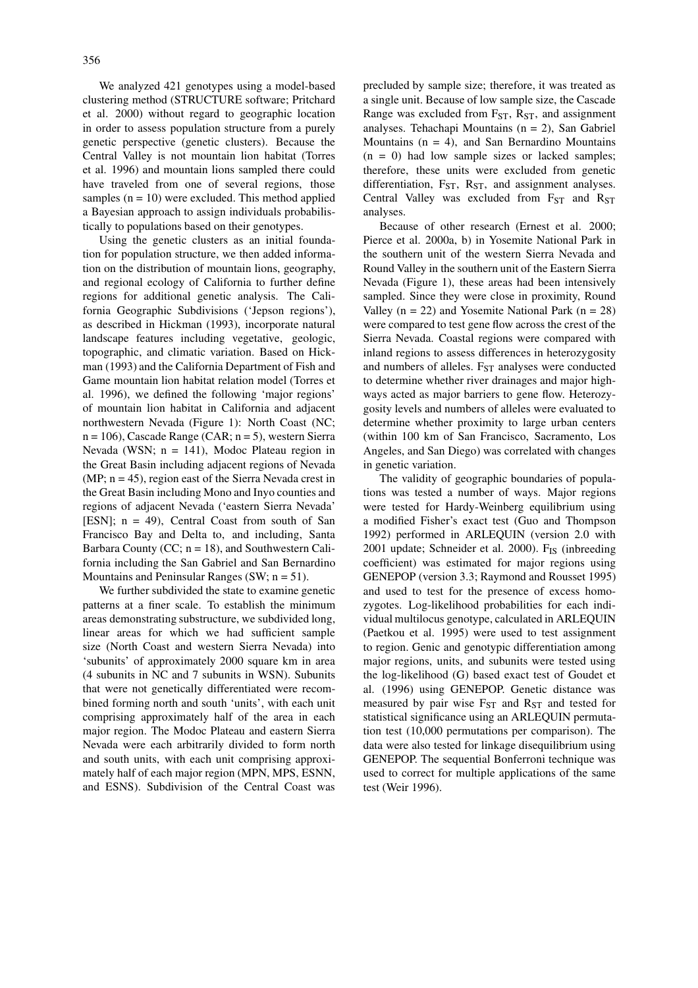We analyzed 421 genotypes using a model-based clustering method (STRUCTURE software; Pritchard et al. 2000) without regard to geographic location in order to assess population structure from a purely genetic perspective (genetic clusters). Because the Central Valley is not mountain lion habitat (Torres et al. 1996) and mountain lions sampled there could have traveled from one of several regions, those samples  $(n = 10)$  were excluded. This method applied a Bayesian approach to assign individuals probabilistically to populations based on their genotypes.

Using the genetic clusters as an initial foundation for population structure, we then added information on the distribution of mountain lions, geography, and regional ecology of California to further define regions for additional genetic analysis. The California Geographic Subdivisions ('Jepson regions'), as described in Hickman (1993), incorporate natural landscape features including vegetative, geologic, topographic, and climatic variation. Based on Hickman (1993) and the California Department of Fish and Game mountain lion habitat relation model (Torres et al. 1996), we defined the following 'major regions' of mountain lion habitat in California and adjacent northwestern Nevada (Figure 1): North Coast (NC;  $n = 106$ ), Cascade Range (CAR;  $n = 5$ ), western Sierra Nevada (WSN; n = 141), Modoc Plateau region in the Great Basin including adjacent regions of Nevada (MP; n = 45), region east of the Sierra Nevada crest in the Great Basin including Mono and Inyo counties and regions of adjacent Nevada ('eastern Sierra Nevada' [ESN];  $n = 49$ ), Central Coast from south of San Francisco Bay and Delta to, and including, Santa Barbara County (CC;  $n = 18$ ), and Southwestern California including the San Gabriel and San Bernardino Mountains and Peninsular Ranges (SW;  $n = 51$ ).

We further subdivided the state to examine genetic patterns at a finer scale. To establish the minimum areas demonstrating substructure, we subdivided long, linear areas for which we had sufficient sample size (North Coast and western Sierra Nevada) into 'subunits' of approximately 2000 square km in area (4 subunits in NC and 7 subunits in WSN). Subunits that were not genetically differentiated were recombined forming north and south 'units', with each unit comprising approximately half of the area in each major region. The Modoc Plateau and eastern Sierra Nevada were each arbitrarily divided to form north and south units, with each unit comprising approximately half of each major region (MPN, MPS, ESNN, and ESNS). Subdivision of the Central Coast was

precluded by sample size; therefore, it was treated as a single unit. Because of low sample size, the Cascade Range was excluded from  $F_{ST}$ ,  $R_{ST}$ , and assignment analyses. Tehachapi Mountains  $(n = 2)$ , San Gabriel Mountains  $(n = 4)$ , and San Bernardino Mountains  $(n = 0)$  had low sample sizes or lacked samples; therefore, these units were excluded from genetic differentiation,  $F_{ST}$ ,  $R_{ST}$ , and assignment analyses. Central Valley was excluded from F<sub>ST</sub> and R<sub>ST</sub> analyses.

Because of other research (Ernest et al. 2000; Pierce et al. 2000a, b) in Yosemite National Park in the southern unit of the western Sierra Nevada and Round Valley in the southern unit of the Eastern Sierra Nevada (Figure 1), these areas had been intensively sampled. Since they were close in proximity, Round Valley ( $n = 22$ ) and Yosemite National Park ( $n = 28$ ) were compared to test gene flow across the crest of the Sierra Nevada. Coastal regions were compared with inland regions to assess differences in heterozygosity and numbers of alleles.  $F_{ST}$  analyses were conducted to determine whether river drainages and major highways acted as major barriers to gene flow. Heterozygosity levels and numbers of alleles were evaluated to determine whether proximity to large urban centers (within 100 km of San Francisco, Sacramento, Los Angeles, and San Diego) was correlated with changes in genetic variation.

The validity of geographic boundaries of populations was tested a number of ways. Major regions were tested for Hardy-Weinberg equilibrium using a modified Fisher's exact test (Guo and Thompson 1992) performed in ARLEQUIN (version 2.0 with 2001 update; Schneider et al. 2000).  $F_{IS}$  (inbreeding coefficient) was estimated for major regions using GENEPOP (version 3.3; Raymond and Rousset 1995) and used to test for the presence of excess homozygotes. Log-likelihood probabilities for each individual multilocus genotype, calculated in ARLEQUIN (Paetkou et al. 1995) were used to test assignment to region. Genic and genotypic differentiation among major regions, units, and subunits were tested using the log-likelihood (G) based exact test of Goudet et al. (1996) using GENEPOP. Genetic distance was measured by pair wise  $F_{ST}$  and  $R_{ST}$  and tested for statistical significance using an ARLEQUIN permutation test (10,000 permutations per comparison). The data were also tested for linkage disequilibrium using GENEPOP. The sequential Bonferroni technique was used to correct for multiple applications of the same test (Weir 1996).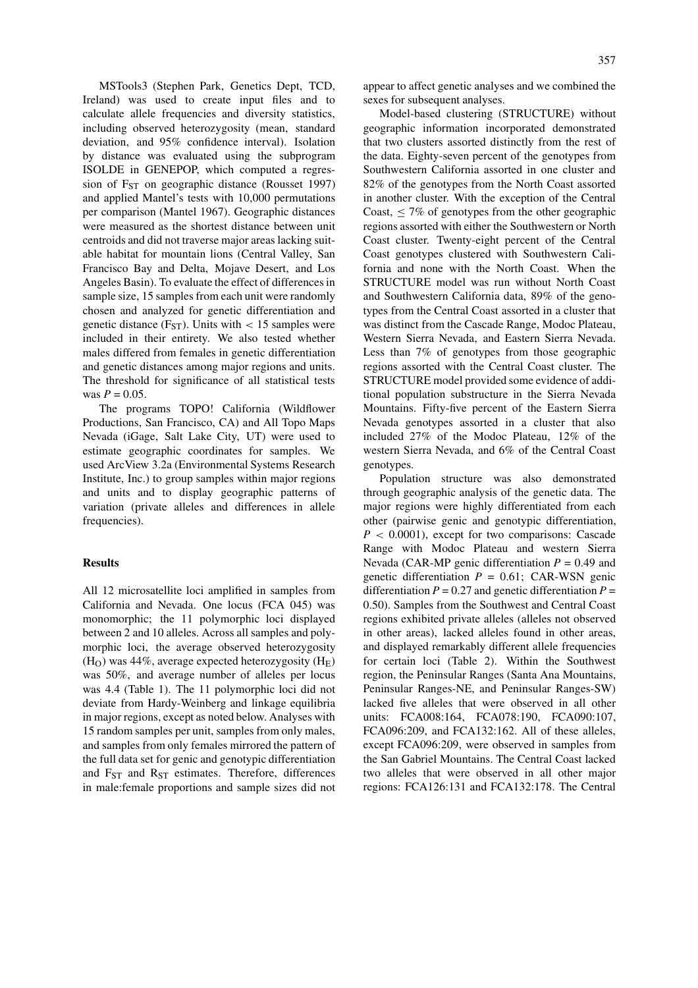MSTools3 (Stephen Park, Genetics Dept, TCD, Ireland) was used to create input files and to calculate allele frequencies and diversity statistics, including observed heterozygosity (mean, standard deviation, and 95% confidence interval). Isolation by distance was evaluated using the subprogram ISOLDE in GENEPOP, which computed a regression of  $F_{ST}$  on geographic distance (Rousset 1997) and applied Mantel's tests with 10,000 permutations per comparison (Mantel 1967). Geographic distances were measured as the shortest distance between unit centroids and did not traverse major areas lacking suitable habitat for mountain lions (Central Valley, San Francisco Bay and Delta, Mojave Desert, and Los Angeles Basin). To evaluate the effect of differences in sample size, 15 samples from each unit were randomly chosen and analyzed for genetic differentiation and genetic distance  $(F_{ST})$ . Units with  $\lt 15$  samples were included in their entirety. We also tested whether males differed from females in genetic differentiation and genetic distances among major regions and units. The threshold for significance of all statistical tests was  $P = 0.05$ .

The programs TOPO! California (Wildflower Productions, San Francisco, CA) and All Topo Maps Nevada (iGage, Salt Lake City, UT) were used to estimate geographic coordinates for samples. We used ArcView 3.2a (Environmental Systems Research Institute, Inc.) to group samples within major regions and units and to display geographic patterns of variation (private alleles and differences in allele frequencies).

# **Results**

All 12 microsatellite loci amplified in samples from California and Nevada. One locus (FCA 045) was monomorphic; the 11 polymorphic loci displayed between 2 and 10 alleles. Across all samples and polymorphic loci, the average observed heterozygosity  $(H<sub>O</sub>)$  was 44%, average expected heterozygosity  $(H<sub>E</sub>)$ was 50%, and average number of alleles per locus was 4.4 (Table 1). The 11 polymorphic loci did not deviate from Hardy-Weinberg and linkage equilibria in major regions, except as noted below. Analyses with 15 random samples per unit, samples from only males, and samples from only females mirrored the pattern of the full data set for genic and genotypic differentiation and FST and RST estimates. Therefore, differences in male:female proportions and sample sizes did not

appear to affect genetic analyses and we combined the sexes for subsequent analyses.

Model-based clustering (STRUCTURE) without geographic information incorporated demonstrated that two clusters assorted distinctly from the rest of the data. Eighty-seven percent of the genotypes from Southwestern California assorted in one cluster and 82% of the genotypes from the North Coast assorted in another cluster. With the exception of the Central Coast,  $\lt$  7% of genotypes from the other geographic regions assorted with either the Southwestern or North Coast cluster. Twenty-eight percent of the Central Coast genotypes clustered with Southwestern California and none with the North Coast. When the STRUCTURE model was run without North Coast and Southwestern California data, 89% of the genotypes from the Central Coast assorted in a cluster that was distinct from the Cascade Range, Modoc Plateau, Western Sierra Nevada, and Eastern Sierra Nevada. Less than 7% of genotypes from those geographic regions assorted with the Central Coast cluster. The STRUCTURE model provided some evidence of additional population substructure in the Sierra Nevada Mountains. Fifty-five percent of the Eastern Sierra Nevada genotypes assorted in a cluster that also included 27% of the Modoc Plateau, 12% of the western Sierra Nevada, and 6% of the Central Coast genotypes.

Population structure was also demonstrated through geographic analysis of the genetic data. The major regions were highly differentiated from each other (pairwise genic and genotypic differentiation, *P <* 0.0001), except for two comparisons: Cascade Range with Modoc Plateau and western Sierra Nevada (CAR-MP genic differentiation  $P = 0.49$  and genetic differentiation  $P = 0.61$ ; CAR-WSN genic differentiation  $P = 0.27$  and genetic differentiation  $P =$ 0.50). Samples from the Southwest and Central Coast regions exhibited private alleles (alleles not observed in other areas), lacked alleles found in other areas, and displayed remarkably different allele frequencies for certain loci (Table 2). Within the Southwest region, the Peninsular Ranges (Santa Ana Mountains, Peninsular Ranges-NE, and Peninsular Ranges-SW) lacked five alleles that were observed in all other units: FCA008:164, FCA078:190, FCA090:107, FCA096:209, and FCA132:162. All of these alleles, except FCA096:209, were observed in samples from the San Gabriel Mountains. The Central Coast lacked two alleles that were observed in all other major regions: FCA126:131 and FCA132:178. The Central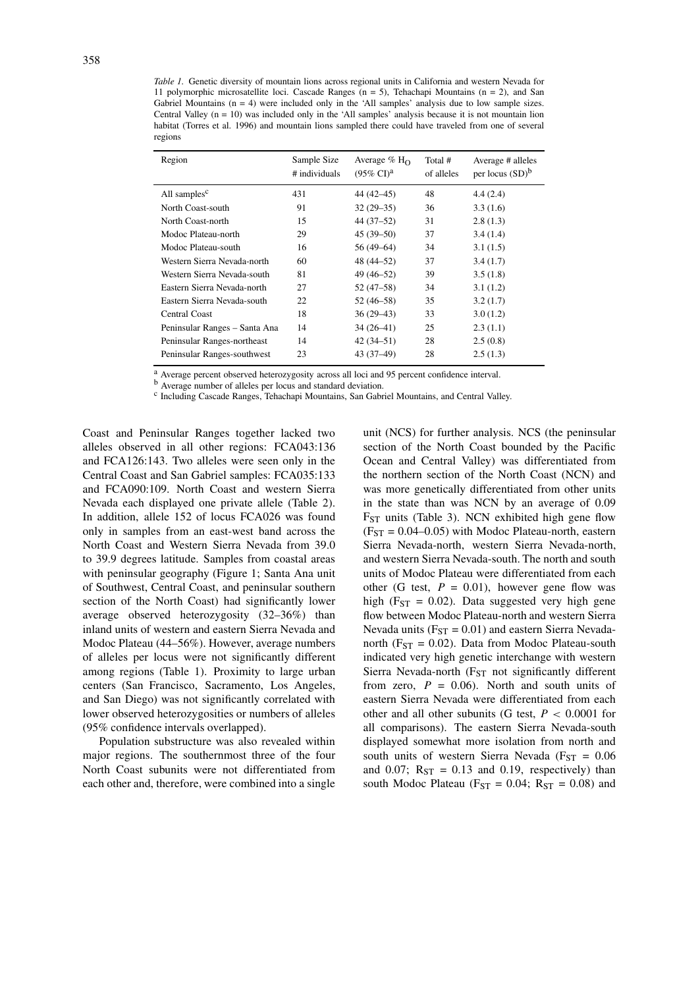*Table 1.* Genetic diversity of mountain lions across regional units in California and western Nevada for 11 polymorphic microsatellite loci. Cascade Ranges  $(n = 5)$ , Tehachapi Mountains  $(n = 2)$ , and San Gabriel Mountains  $(n = 4)$  were included only in the 'All samples' analysis due to low sample sizes. Central Valley  $(n = 10)$  was included only in the 'All samples' analysis because it is not mountain lion habitat (Torres et al. 1996) and mountain lions sampled there could have traveled from one of several regions

| Region                        | Sample Size<br># individuals | Average $%$ H <sub>O</sub><br>$(95\% \text{ Cl})^{\text{a}}$ | Total #<br>of alleles | Average # alleles<br>per locus $(SD)^b$ |  |  |
|-------------------------------|------------------------------|--------------------------------------------------------------|-----------------------|-----------------------------------------|--|--|
| All samples $c$               | 431                          | 44 (42–45)                                                   | 48                    | 4.4(2.4)                                |  |  |
| North Coast-south             | 91                           | $32(29-35)$                                                  | 36                    | 3.3(1.6)                                |  |  |
| North Coast-north             | 15                           | 44 (37–52)                                                   | 31                    | 2.8(1.3)                                |  |  |
| Modoc Plateau-north           | 29                           | $45(39-50)$                                                  | 37                    | 3.4(1.4)                                |  |  |
| Modoc Plateau-south           | 16                           | 56 (49–64)                                                   | 34                    | 3.1(1.5)                                |  |  |
| Western Sierra Nevada-north   | 60                           | 48 (44–52)                                                   | 37                    | 3.4(1.7)                                |  |  |
| Western Sierra Nevada-south   | 81                           | 49 (46–52)                                                   | 39                    | 3.5(1.8)                                |  |  |
| Eastern Sierra Nevada-north   | 27                           | 52 (47–58)                                                   | 34                    | 3.1(1.2)                                |  |  |
| Eastern Sierra Nevada-south   | 22                           | 52 (46–58)                                                   | 35                    | 3.2(1.7)                                |  |  |
| <b>Central Coast</b>          | 18                           | $36(29-43)$                                                  | 33                    | 3.0(1.2)                                |  |  |
| Peninsular Ranges – Santa Ana | 14                           | $34(26-41)$                                                  | 25                    | 2.3(1.1)                                |  |  |
| Peninsular Ranges-northeast   | 14                           | $42(34 - 51)$                                                | 28                    | 2.5(0.8)                                |  |  |
| Peninsular Ranges-southwest   | 23                           | 43 (37-49)                                                   | 28                    | 2.5(1.3)                                |  |  |

a Average percent observed heterozygosity across all loci and 95 percent confidence interval.

b Average number of alleles per locus and standard deviation.

c Including Cascade Ranges, Tehachapi Mountains, San Gabriel Mountains, and Central Valley.

Coast and Peninsular Ranges together lacked two alleles observed in all other regions: FCA043:136 and FCA126:143. Two alleles were seen only in the Central Coast and San Gabriel samples: FCA035:133 and FCA090:109. North Coast and western Sierra Nevada each displayed one private allele (Table 2). In addition, allele 152 of locus FCA026 was found only in samples from an east-west band across the North Coast and Western Sierra Nevada from 39.0 to 39.9 degrees latitude. Samples from coastal areas with peninsular geography (Figure 1; Santa Ana unit of Southwest, Central Coast, and peninsular southern section of the North Coast) had significantly lower average observed heterozygosity (32–36%) than inland units of western and eastern Sierra Nevada and Modoc Plateau (44–56%). However, average numbers of alleles per locus were not significantly different among regions (Table 1). Proximity to large urban centers (San Francisco, Sacramento, Los Angeles, and San Diego) was not significantly correlated with lower observed heterozygosities or numbers of alleles (95% confidence intervals overlapped).

Population substructure was also revealed within major regions. The southernmost three of the four North Coast subunits were not differentiated from each other and, therefore, were combined into a single

unit (NCS) for further analysis. NCS (the peninsular section of the North Coast bounded by the Pacific Ocean and Central Valley) was differentiated from the northern section of the North Coast (NCN) and was more genetically differentiated from other units in the state than was NCN by an average of 0.09  $F_{ST}$  units (Table 3). NCN exhibited high gene flow  $(F_{ST} = 0.04 - 0.05)$  with Modoc Plateau-north, eastern Sierra Nevada-north, western Sierra Nevada-north, and western Sierra Nevada-south. The north and south units of Modoc Plateau were differentiated from each other (G test,  $P = 0.01$ ), however gene flow was high ( $F_{ST}$  = 0.02). Data suggested very high gene flow between Modoc Plateau-north and western Sierra Nevada units ( $F_{ST} = 0.01$ ) and eastern Sierra Nevadanorth ( $F_{ST} = 0.02$ ). Data from Modoc Plateau-south indicated very high genetic interchange with western Sierra Nevada-north ( $F_{ST}$  not significantly different from zero,  $P = 0.06$ ). North and south units of eastern Sierra Nevada were differentiated from each other and all other subunits (G test, *P <* 0.0001 for all comparisons). The eastern Sierra Nevada-south displayed somewhat more isolation from north and south units of western Sierra Nevada ( $F_{ST} = 0.06$ and 0.07;  $R_{ST} = 0.13$  and 0.19, respectively) than south Modoc Plateau ( $F_{ST} = 0.04$ ;  $R_{ST} = 0.08$ ) and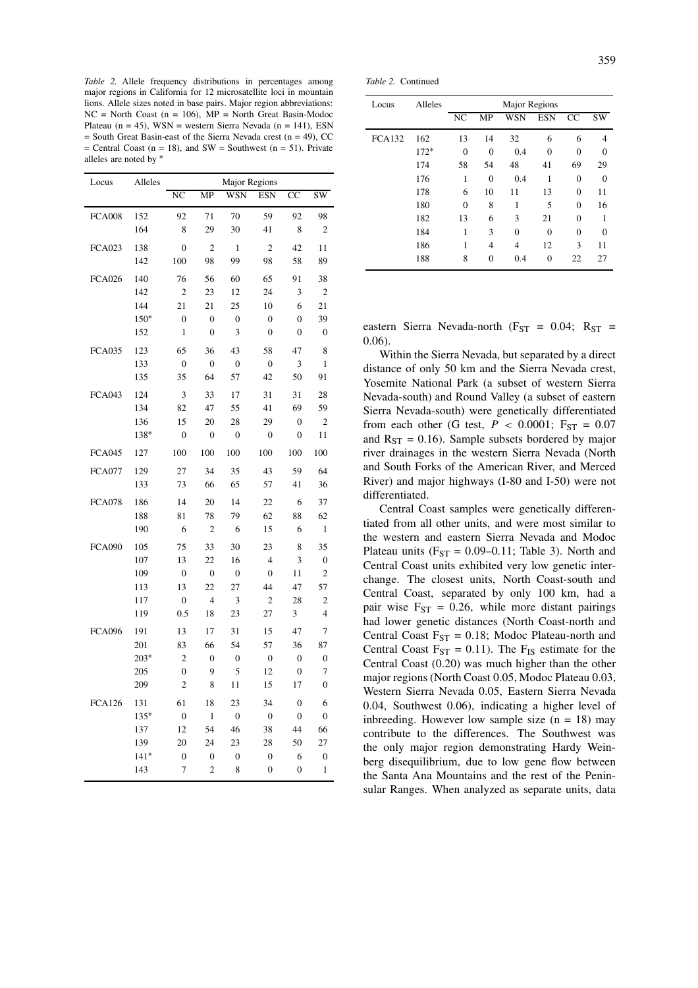*Table 2.* Allele frequency distributions in percentages among *Table 2.* Continued major regions in California for 12 microsatellite loci in mountain lions. Allele sizes noted in base pairs. Major region abbreviations:  $NC = North Coast (n = 106)$ ,  $MP = North Great Basin-Modoc$ Plateau (n = 45), WSN = western Sierra Nevada (n = 141), ESN  $=$  South Great Basin-east of the Sierra Nevada crest (n = 49), CC = Central Coast (n = 18), and SW = Southwest (n = 51). Private alleles are noted by ∗

| Locus         | Alleles | Major Regions    |                  |                  |                  |                             |                         | 0.4<br>176<br>$\mathbf{1}$<br>$\boldsymbol{0}$<br>$\mathbf{1}$<br>$\boldsymbol{0}$<br>$\boldsymbol{0}$      |  |  |  |  |  |  |  |  |  |  |  |  |  |
|---------------|---------|------------------|------------------|------------------|------------------|-----------------------------|-------------------------|-------------------------------------------------------------------------------------------------------------|--|--|--|--|--|--|--|--|--|--|--|--|--|
|               |         | NC               | MP               | <b>WSN</b>       | <b>ESN</b>       | CC                          | $\overline{\text{SW}}$  | 178<br>$10\,$<br>$11\,$<br>13<br>$\boldsymbol{0}$<br>$11\,$<br>6                                            |  |  |  |  |  |  |  |  |  |  |  |  |  |
|               |         |                  |                  |                  |                  |                             |                         | 5<br>180<br>$\boldsymbol{0}$<br>8<br>$\mathbf{1}$<br>$\boldsymbol{0}$<br>16                                 |  |  |  |  |  |  |  |  |  |  |  |  |  |
| <b>FCA008</b> | 152     | 92               | 71               | 70               | 59               | 92                          | 98                      | 21<br>$\boldsymbol{0}$<br>182<br>13<br>6<br>3<br>$\mathbf{1}$                                               |  |  |  |  |  |  |  |  |  |  |  |  |  |
|               | 164     | 8                | 29               | 30               | 41               | 8                           | $\boldsymbol{2}$        | 184<br>$\mathbf{1}$<br>3<br>$\boldsymbol{0}$<br>$\boldsymbol{0}$<br>$\boldsymbol{0}$<br>$\boldsymbol{0}$    |  |  |  |  |  |  |  |  |  |  |  |  |  |
| <b>FCA023</b> | 138     | $\boldsymbol{0}$ | $\mathbf{2}$     | 1                | $\mathfrak{2}$   | 42                          | 11                      | $\mathfrak z$<br>$\mathbf 1$<br>$\overline{\mathbf{4}}$<br>4<br>12<br>186<br>11                             |  |  |  |  |  |  |  |  |  |  |  |  |  |
|               | 142     | 100              | 98               | 99               | 98               | 58                          | 89                      | 8<br>$\boldsymbol{0}$<br>22<br>27<br>188<br>$\boldsymbol{0}$<br>0.4                                         |  |  |  |  |  |  |  |  |  |  |  |  |  |
| <b>FCA026</b> | 140     | 76               | 56               | 60               | 65               | 91                          | 38                      |                                                                                                             |  |  |  |  |  |  |  |  |  |  |  |  |  |
|               | 142     | $\sqrt{2}$       | 23               | 12               | 24               | $\mathfrak{Z}$              | $\boldsymbol{2}$        |                                                                                                             |  |  |  |  |  |  |  |  |  |  |  |  |  |
|               | 144     | 21               | 21               | 25               | 10               | 6                           | 21                      |                                                                                                             |  |  |  |  |  |  |  |  |  |  |  |  |  |
|               | $150*$  | $\boldsymbol{0}$ | $\boldsymbol{0}$ | $\boldsymbol{0}$ | $\boldsymbol{0}$ | $\boldsymbol{0}$            | 39                      | eastern Sierra Nevada-north ( $F_{ST} = 0.04$ ; $R_{ST}$                                                    |  |  |  |  |  |  |  |  |  |  |  |  |  |
|               | 152     | $\mathbf{1}$     | $\boldsymbol{0}$ | 3                | $\boldsymbol{0}$ | $\boldsymbol{0}$            | $\boldsymbol{0}$        | $0.06$ ).                                                                                                   |  |  |  |  |  |  |  |  |  |  |  |  |  |
| <b>FCA035</b> | 123     | 65               | 36               | 43               | 58               | 47                          | 8                       | Within the Sierra Nevada, but separated by a direct                                                         |  |  |  |  |  |  |  |  |  |  |  |  |  |
|               | 133     | $\boldsymbol{0}$ | $\boldsymbol{0}$ | $\boldsymbol{0}$ | $\boldsymbol{0}$ | 3                           | $\mathbf{1}$            | distance of only 50 km and the Sierra Nevada cres                                                           |  |  |  |  |  |  |  |  |  |  |  |  |  |
|               | 135     | 35               | 64               | 57               | 42               | 50                          | 91                      | Yosemite National Park (a subset of western Sierr                                                           |  |  |  |  |  |  |  |  |  |  |  |  |  |
| <b>FCA043</b> | 124     | 3                | 33               | 17               | 31               | 31                          | 28                      | Nevada-south) and Round Valley (a subset of easter                                                          |  |  |  |  |  |  |  |  |  |  |  |  |  |
|               | 134     | 82               | 47               | 55               | 41               | 69                          | 59                      | Sierra Nevada-south) were genetically differentiate                                                         |  |  |  |  |  |  |  |  |  |  |  |  |  |
|               | 136     | 15               | 20               | 28               | 29               | $\boldsymbol{0}$            | $\sqrt{2}$              | from each other (G test, $P < 0.0001$ ; $F_{ST} = 0.0$                                                      |  |  |  |  |  |  |  |  |  |  |  |  |  |
|               | 138*    | $\boldsymbol{0}$ | $\boldsymbol{0}$ | $\boldsymbol{0}$ | $\boldsymbol{0}$ | $\boldsymbol{0}$            | 11                      | and $R_{ST} = 0.16$ ). Sample subsets bordered by majo                                                      |  |  |  |  |  |  |  |  |  |  |  |  |  |
| <b>FCA045</b> | 127     | 100              | 100              | 100              | 100              | 100                         | 100                     | river drainages in the western Sierra Nevada (Nort                                                          |  |  |  |  |  |  |  |  |  |  |  |  |  |
| <b>FCA077</b> | 129     | 27               | 34               | 35               | 43               | 59                          | 64                      | and South Forks of the American River, and Merce                                                            |  |  |  |  |  |  |  |  |  |  |  |  |  |
|               | 133     | 73               | 66               | 65               | 57               | 41                          | 36                      | River) and major highways (I-80 and I-50) were no                                                           |  |  |  |  |  |  |  |  |  |  |  |  |  |
| <b>FCA078</b> | 186     | 14               | 20               | 14               | 22               | 6                           | 37                      | differentiated.                                                                                             |  |  |  |  |  |  |  |  |  |  |  |  |  |
|               | 188     | 81               | 78               | 79               | 62               | 88                          | 62                      | Central Coast samples were genetically different                                                            |  |  |  |  |  |  |  |  |  |  |  |  |  |
|               | 190     | 6                | $\boldsymbol{2}$ | 6                | 15               | 6                           | $\mathbf{1}$            | tiated from all other units, and were most similar t                                                        |  |  |  |  |  |  |  |  |  |  |  |  |  |
| <b>FCA090</b> | 105     | 75               | 33               | 30               | 23               | $\,$ 8 $\,$                 | 35                      | the western and eastern Sierra Nevada and Modo                                                              |  |  |  |  |  |  |  |  |  |  |  |  |  |
|               | 107     | 13               | 22               | 16               | $\overline{4}$   | $\ensuremath{\mathfrak{Z}}$ | $\boldsymbol{0}$        | Plateau units ( $F_{ST} = 0.09 - 0.11$ ; Table 3). North an                                                 |  |  |  |  |  |  |  |  |  |  |  |  |  |
|               | 109     | $\boldsymbol{0}$ | $\boldsymbol{0}$ | $\boldsymbol{0}$ | $\boldsymbol{0}$ | 11                          | $\boldsymbol{2}$        | Central Coast units exhibited very low genetic inter                                                        |  |  |  |  |  |  |  |  |  |  |  |  |  |
|               | 113     | 13               | 22               | 27               | 44               | 47                          | 57                      | change. The closest units, North Coast-south an                                                             |  |  |  |  |  |  |  |  |  |  |  |  |  |
|               | 117     | $\boldsymbol{0}$ | $\overline{4}$   | 3                | $\boldsymbol{2}$ | 28                          | 2                       | Central Coast, separated by only 100 km, had                                                                |  |  |  |  |  |  |  |  |  |  |  |  |  |
|               | 119     | 0.5              | 18               | 23               | 27               | 3                           | $\overline{\mathbf{4}}$ | pair wise $F_{ST} = 0.26$ , while more distant pairing<br>had lower genetic distances (North Coast-north an |  |  |  |  |  |  |  |  |  |  |  |  |  |
| <b>FCA096</b> | 191     | 13               | 17               | 31               | 15               | 47                          | $\boldsymbol{7}$        | Central Coast $F_{ST} = 0.18$ ; Modoc Plateau-north an                                                      |  |  |  |  |  |  |  |  |  |  |  |  |  |
|               | 201     | 83               | 66               | 54               | 57               | 36                          | 87                      | Central Coast $F_{ST} = 0.11$ ). The $F_{IS}$ estimate for th                                               |  |  |  |  |  |  |  |  |  |  |  |  |  |
|               | $203*$  | $\mathfrak{2}$   | $\boldsymbol{0}$ | $\boldsymbol{0}$ | $\boldsymbol{0}$ | $\boldsymbol{0}$            | $\boldsymbol{0}$        | Central Coast (0.20) was much higher than the other                                                         |  |  |  |  |  |  |  |  |  |  |  |  |  |
|               | 205     | $\boldsymbol{0}$ | 9                | $\mathfrak s$    | 12               | $\boldsymbol{0}$            | 7                       |                                                                                                             |  |  |  |  |  |  |  |  |  |  |  |  |  |
|               | 209     | $\overline{2}$   | 8                | 11               | 15               | 17                          | $\boldsymbol{0}$        | major regions (North Coast 0.05, Modoc Plateau 0.03<br>Western Sierra Nevada 0.05, Eastern Sierra Nevad     |  |  |  |  |  |  |  |  |  |  |  |  |  |
| <b>FCA126</b> | 131     | 61               | 18               | 23               | 34               | $\boldsymbol{0}$            | 6                       | 0.04, Southwest 0.06), indicating a higher level of                                                         |  |  |  |  |  |  |  |  |  |  |  |  |  |
|               | $135*$  | $\boldsymbol{0}$ | $\mathbf{1}$     | $\boldsymbol{0}$ | $\boldsymbol{0}$ | $\mathbf{0}$                | $\boldsymbol{0}$        | inbreeding. However low sample size $(n = 18)$ ma                                                           |  |  |  |  |  |  |  |  |  |  |  |  |  |
|               | 137     | 12               | 54               | 46               | 38               | 44                          | 66                      | contribute to the differences. The Southwest wa                                                             |  |  |  |  |  |  |  |  |  |  |  |  |  |
|               | 139     | 20               | 24               | 23               | 28               | 50                          | 27                      | the only major region demonstrating Hardy Weir                                                              |  |  |  |  |  |  |  |  |  |  |  |  |  |
|               | $141*$  | $\boldsymbol{0}$ | $\boldsymbol{0}$ | $\boldsymbol{0}$ | $\boldsymbol{0}$ | 6                           | $\boldsymbol{0}$        | berg disequilibrium, due to low gene flow betwee                                                            |  |  |  |  |  |  |  |  |  |  |  |  |  |
|               | 143     | $\overline{7}$   | $\overline{c}$   | 8                | $\boldsymbol{0}$ | $\boldsymbol{0}$            | $\mathbf{1}$            | the Santa Ana Mountains and the rest of the Penir                                                           |  |  |  |  |  |  |  |  |  |  |  |  |  |

| sizes noted in base pairs. Major region abbreviations:<br>Coast ( $n = 106$ ), MP = North Great Basin-Modoc<br>45), WSN = western Sierra Nevada (n = 141), ESN |          |    | Locus                                                      | Alleles        | Major Regions |           |               |        |          |          |            |            |               |           |
|----------------------------------------------------------------------------------------------------------------------------------------------------------------|----------|----|------------------------------------------------------------|----------------|---------------|-----------|---------------|--------|----------|----------|------------|------------|---------------|-----------|
|                                                                                                                                                                |          |    |                                                            |                |               |           |               |        | NC       | MP       | <b>WSN</b> | <b>ESN</b> | <sub>CC</sub> | <b>SW</b> |
|                                                                                                                                                                |          |    | t Basin-east of the Sierra Nevada crest $(n = 49)$ , CC    |                |               |           | <b>FCA132</b> | 162    | 13       | 14       | 32         | 6          | 6             | 4         |
|                                                                                                                                                                |          |    | ast ( $n = 18$ ), and SW = Southwest ( $n = 51$ ). Private |                |               |           |               | $172*$ | $\Omega$ | $\Omega$ | 0.4        | $\Omega$   | $\Omega$      | $\Omega$  |
| ted by *                                                                                                                                                       |          |    |                                                            |                |               |           |               | 174    | 58       | 54       | 48         | 41         | 69            | 29        |
| Alleles                                                                                                                                                        |          |    | Major Regions                                              |                |               |           |               | 176    |          | $\Omega$ | 0.4        |            | $\Omega$      | $\Omega$  |
|                                                                                                                                                                | NC       | МP | <b>WSN</b>                                                 | <b>ESN</b>     | <sub>CC</sub> | <b>SW</b> |               | 178    | 6        | 10       | 11         | 13         | $\Omega$      | 11        |
|                                                                                                                                                                |          |    |                                                            |                |               |           |               | 180    | $\Omega$ | 8        | 1          | 5          | $\Omega$      | 16        |
| 152                                                                                                                                                            | 92       | 71 | 70                                                         | 59             | 92            | 98        |               | 182    | 13       | 6        | 3          | 21         | $\Omega$      |           |
| 164                                                                                                                                                            | 8        | 29 | 30                                                         | 41             | 8             | 2         |               | 184    |          | 3        | $\Omega$   | $\Omega$   | $\Omega$      | $\Omega$  |
| 138                                                                                                                                                            | $\Omega$ | 2  |                                                            | $\mathfrak{D}$ | 42            | 11        |               | 186    |          | 4        | 4          | 12         | 3             | 11        |
| 142                                                                                                                                                            | 100      | 98 | 99                                                         | 98             | 58            | 89        |               | 188    | 8        | $\Omega$ | 0.4        | $\Omega$   | 22            | 27        |
|                                                                                                                                                                |          |    |                                                            |                |               |           |               |        |          |          |            |            |               |           |

Central Coast samples were genetically differentiated from all other units, and were most similar to the western and eastern Sierra Nevada and Modoc Plateau units ( $F_{ST} = 0.09{\text -}0.11$ ; Table 3). North and Central Coast units exhibited very low genetic inter-<br>change. The closest units, North Coast-south and<br>Central Coast, separated by only 100 km, had a<br>pair wise  $F_{ST} = 0.26$ , while more distant pairings had lower genetic distances (North Coast-north and Central Coast  $F_{ST} = 0.18$ ; Modoc Plateau-north and Central Coast F<sub>ST</sub> = 0.11). The F<sub>IS</sub> estimate for the Central Coast (0.20) was much higher than the other major regions (North Coast 0.05, Modoc Plateau 0.03, Western Sierra Nevada 0.05, Eastern Sierra Nevada  $0.04$ , Southwest  $0.06$ ), indicating a higher level of inbreeding. However low sample size  $(n = 18)$  may contribute to the differences. The Southwest was the only major region demonstrating Hardy Wein-<br>berg disequilibrium, due to low gene flow between<br>the Santa Ana Mountains and the rest of the Peninsular Ranges. When analyzed as separate units, data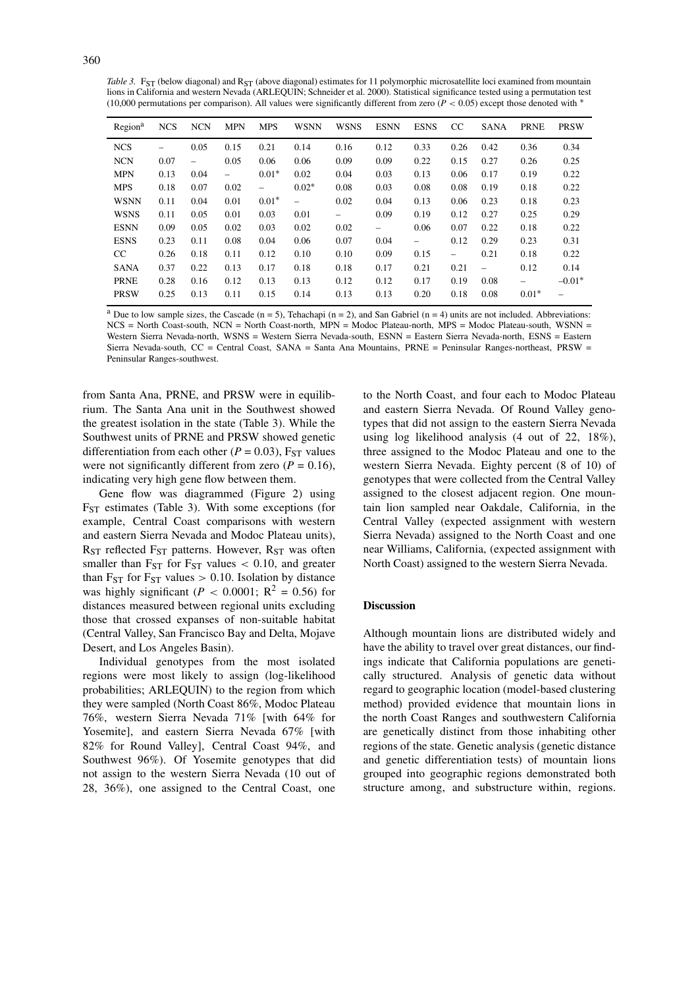*Table* 3. F<sub>ST</sub> (below diagonal) and R<sub>ST</sub> (above diagonal) estimates for 11 polymorphic microsatellite loci examined from mountain lions in California and western Nevada (ARLEQUIN; Schneider et al. 2000). Statistical significance tested using a permutation test (10,000 permutations per comparison). All values were significantly different from zero ( $P < 0.05$ ) except those denoted with <sup>\*</sup>

| Region <sup>a</sup> | <b>NCS</b> | <b>NCN</b>               | <b>MPN</b>               | <b>MPS</b>               | <b>WSNN</b>              | <b>WSNS</b> | <b>ESNN</b> | <b>ESNS</b>              | CC                       | <b>SANA</b>              | <b>PRNE</b>              | <b>PRSW</b> |
|---------------------|------------|--------------------------|--------------------------|--------------------------|--------------------------|-------------|-------------|--------------------------|--------------------------|--------------------------|--------------------------|-------------|
| <b>NCS</b>          | -          | 0.05                     | 0.15                     | 0.21                     | 0.14                     | 0.16        | 0.12        | 0.33                     | 0.26                     | 0.42                     | 0.36                     | 0.34        |
| <b>NCN</b>          | 0.07       | $\overline{\phantom{0}}$ | 0.05                     | 0.06                     | 0.06                     | 0.09        | 0.09        | 0.22                     | 0.15                     | 0.27                     | 0.26                     | 0.25        |
| <b>MPN</b>          | 0.13       | 0.04                     | $\overline{\phantom{0}}$ | $0.01*$                  | 0.02                     | 0.04        | 0.03        | 0.13                     | 0.06                     | 0.17                     | 0.19                     | 0.22        |
| <b>MPS</b>          | 0.18       | 0.07                     | 0.02                     | $\overline{\phantom{0}}$ | $0.02*$                  | 0.08        | 0.03        | 0.08                     | 0.08                     | 0.19                     | 0.18                     | 0.22        |
| <b>WSNN</b>         | 0.11       | 0.04                     | 0.01                     | $0.01*$                  | $\overline{\phantom{0}}$ | 0.02        | 0.04        | 0.13                     | 0.06                     | 0.23                     | 0.18                     | 0.23        |
| <b>WSNS</b>         | 0.11       | 0.05                     | 0.01                     | 0.03                     | 0.01                     |             | 0.09        | 0.19                     | 0.12                     | 0.27                     | 0.25                     | 0.29        |
| <b>ESNN</b>         | 0.09       | 0.05                     | 0.02                     | 0.03                     | 0.02                     | 0.02        |             | 0.06                     | 0.07                     | 0.22                     | 0.18                     | 0.22        |
| <b>ESNS</b>         | 0.23       | 0.11                     | 0.08                     | 0.04                     | 0.06                     | 0.07        | 0.04        | $\overline{\phantom{0}}$ | 0.12                     | 0.29                     | 0.23                     | 0.31        |
| CC                  | 0.26       | 0.18                     | 0.11                     | 0.12                     | 0.10                     | 0.10        | 0.09        | 0.15                     | $\overline{\phantom{m}}$ | 0.21                     | 0.18                     | 0.22        |
| <b>SANA</b>         | 0.37       | 0.22                     | 0.13                     | 0.17                     | 0.18                     | 0.18        | 0.17        | 0.21                     | 0.21                     | $\overline{\phantom{0}}$ | 0.12                     | 0.14        |
| <b>PRNE</b>         | 0.28       | 0.16                     | 0.12                     | 0.13                     | 0.13                     | 0.12        | 0.12        | 0.17                     | 0.19                     | 0.08                     | $\overline{\phantom{0}}$ | $-0.01*$    |
| <b>PRSW</b>         | 0.25       | 0.13                     | 0.11                     | 0.15                     | 0.14                     | 0.13        | 0.13        | 0.20                     | 0.18                     | 0.08                     | $0.01*$                  |             |

<sup>a</sup> Due to low sample sizes, the Cascade (n = 5), Tehachapi (n = 2), and San Gabriel (n = 4) units are not included. Abbreviations: NCS = North Coast-south, NCN = North Coast-north, MPN = Modoc Plateau-north, MPS = Modoc Plateau-south, WSNN = Western Sierra Nevada-north, WSNS = Western Sierra Nevada-south, ESNN = Eastern Sierra Nevada-north, ESNS = Eastern Sierra Nevada-south, CC = Central Coast, SANA = Santa Ana Mountains, PRNE = Peninsular Ranges-northeast, PRSW = Peninsular Ranges-southwest.

from Santa Ana, PRNE, and PRSW were in equilibrium. The Santa Ana unit in the Southwest showed the greatest isolation in the state (Table 3). While the Southwest units of PRNE and PRSW showed genetic differentiation from each other ( $P = 0.03$ ),  $F_{ST}$  values were not significantly different from zero  $(P = 0.16)$ , indicating very high gene flow between them.

Gene flow was diagrammed (Figure 2) using  $F_{ST}$  estimates (Table 3). With some exceptions (for example, Central Coast comparisons with western and eastern Sierra Nevada and Modoc Plateau units),  $R_{ST}$  reflected  $F_{ST}$  patterns. However,  $R_{ST}$  was often smaller than  $F_{ST}$  for  $F_{ST}$  values  $< 0.10$ , and greater than F<sub>ST</sub> for F<sub>ST</sub> values  $> 0.10$ . Isolation by distance was highly significant ( $P < 0.0001$ ;  $R^2 = 0.56$ ) for distances measured between regional units excluding those that crossed expanses of non-suitable habitat (Central Valley, San Francisco Bay and Delta, Mojave Desert, and Los Angeles Basin).

Individual genotypes from the most isolated regions were most likely to assign (log-likelihood probabilities; ARLEQUIN) to the region from which they were sampled (North Coast 86%, Modoc Plateau 76%, western Sierra Nevada 71% [with 64% for Yosemite], and eastern Sierra Nevada 67% [with 82% for Round Valley], Central Coast 94%, and Southwest 96%). Of Yosemite genotypes that did not assign to the western Sierra Nevada (10 out of 28, 36%), one assigned to the Central Coast, one

to the North Coast, and four each to Modoc Plateau and eastern Sierra Nevada. Of Round Valley genotypes that did not assign to the eastern Sierra Nevada using log likelihood analysis (4 out of 22, 18%), three assigned to the Modoc Plateau and one to the western Sierra Nevada. Eighty percent (8 of 10) of genotypes that were collected from the Central Valley assigned to the closest adjacent region. One mountain lion sampled near Oakdale, California, in the Central Valley (expected assignment with western Sierra Nevada) assigned to the North Coast and one near Williams, California, (expected assignment with North Coast) assigned to the western Sierra Nevada.

# **Discussion**

Although mountain lions are distributed widely and have the ability to travel over great distances, our findings indicate that California populations are genetically structured. Analysis of genetic data without regard to geographic location (model-based clustering method) provided evidence that mountain lions in the north Coast Ranges and southwestern California are genetically distinct from those inhabiting other regions of the state. Genetic analysis (genetic distance and genetic differentiation tests) of mountain lions grouped into geographic regions demonstrated both structure among, and substructure within, regions.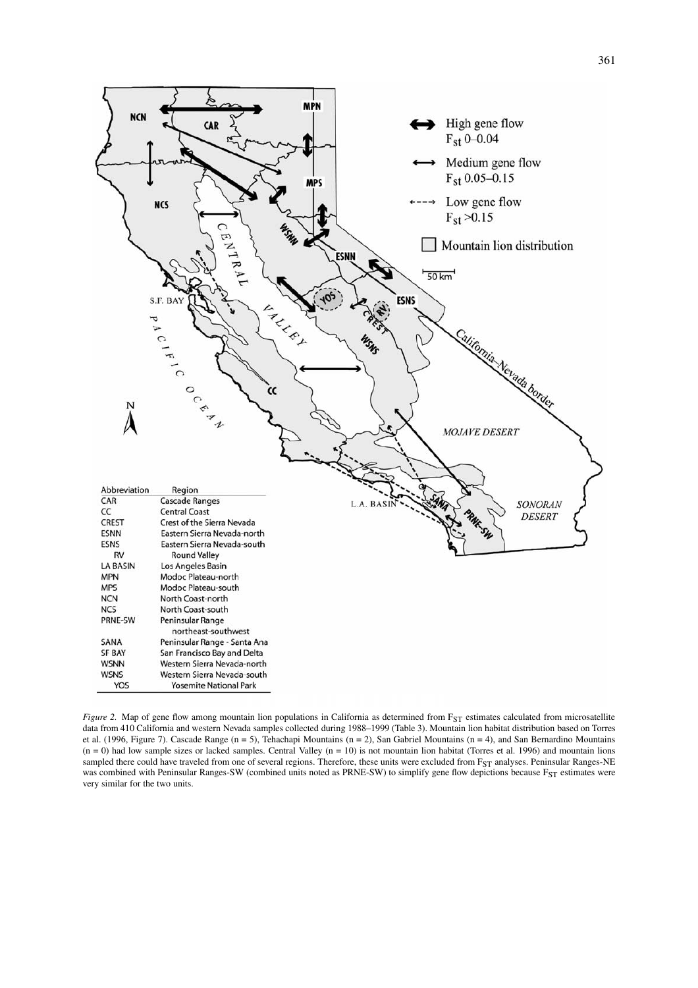

*Figure* 2. Map of gene flow among mountain lion populations in California as determined from F<sub>ST</sub> estimates calculated from microsatellite data from 410 California and western Nevada samples collected during 1988–1999 (Table 3). Mountain lion habitat distribution based on Torres et al. (1996, Figure 7). Cascade Range (n = 5), Tehachapi Mountains (n = 2), San Gabriel Mountains (n = 4), and San Bernardino Mountains  $(n = 0)$  had low sample sizes or lacked samples. Central Valley  $(n = 10)$  is not mountain lion habitat (Torres et al. 1996) and mountain lions sampled there could have traveled from one of several regions. Therefore, these units were excluded from F<sub>ST</sub> analyses. Peninsular Ranges-NE was combined with Peninsular Ranges-SW (combined units noted as PRNE-SW) to simplify gene flow depictions because F<sub>ST</sub> estimates were very similar for the two units.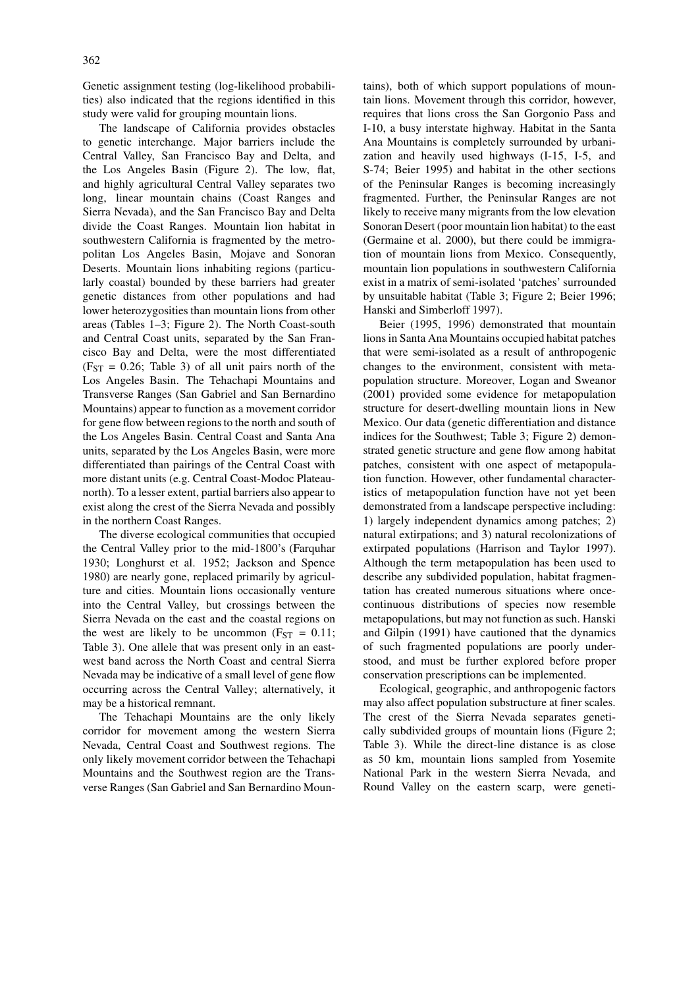Genetic assignment testing (log-likelihood probabilities) also indicated that the regions identified in this study were valid for grouping mountain lions.

The landscape of California provides obstacles to genetic interchange. Major barriers include the Central Valley, San Francisco Bay and Delta, and the Los Angeles Basin (Figure 2). The low, flat, and highly agricultural Central Valley separates two long, linear mountain chains (Coast Ranges and Sierra Nevada), and the San Francisco Bay and Delta divide the Coast Ranges. Mountain lion habitat in southwestern California is fragmented by the metropolitan Los Angeles Basin, Mojave and Sonoran Deserts. Mountain lions inhabiting regions (particularly coastal) bounded by these barriers had greater genetic distances from other populations and had lower heterozygosities than mountain lions from other areas (Tables 1–3; Figure 2). The North Coast-south and Central Coast units, separated by the San Francisco Bay and Delta, were the most differentiated  $(F_{ST} = 0.26$ ; Table 3) of all unit pairs north of the Los Angeles Basin. The Tehachapi Mountains and Transverse Ranges (San Gabriel and San Bernardino Mountains) appear to function as a movement corridor for gene flow between regions to the north and south of the Los Angeles Basin. Central Coast and Santa Ana units, separated by the Los Angeles Basin, were more differentiated than pairings of the Central Coast with more distant units (e.g. Central Coast-Modoc Plateaunorth). To a lesser extent, partial barriers also appear to exist along the crest of the Sierra Nevada and possibly in the northern Coast Ranges.

The diverse ecological communities that occupied the Central Valley prior to the mid-1800's (Farquhar 1930; Longhurst et al. 1952; Jackson and Spence 1980) are nearly gone, replaced primarily by agriculture and cities. Mountain lions occasionally venture into the Central Valley, but crossings between the Sierra Nevada on the east and the coastal regions on the west are likely to be uncommon ( $F_{ST} = 0.11$ ; Table 3). One allele that was present only in an eastwest band across the North Coast and central Sierra Nevada may be indicative of a small level of gene flow occurring across the Central Valley; alternatively, it may be a historical remnant.

The Tehachapi Mountains are the only likely corridor for movement among the western Sierra Nevada, Central Coast and Southwest regions. The only likely movement corridor between the Tehachapi Mountains and the Southwest region are the Transverse Ranges (San Gabriel and San Bernardino Mountains), both of which support populations of mountain lions. Movement through this corridor, however, requires that lions cross the San Gorgonio Pass and I-10, a busy interstate highway. Habitat in the Santa Ana Mountains is completely surrounded by urbanization and heavily used highways (I-15, I-5, and S-74; Beier 1995) and habitat in the other sections of the Peninsular Ranges is becoming increasingly fragmented. Further, the Peninsular Ranges are not likely to receive many migrants from the low elevation Sonoran Desert (poor mountain lion habitat) to the east (Germaine et al. 2000), but there could be immigration of mountain lions from Mexico. Consequently, mountain lion populations in southwestern California exist in a matrix of semi-isolated 'patches' surrounded by unsuitable habitat (Table 3; Figure 2; Beier 1996; Hanski and Simberloff 1997).

Beier (1995, 1996) demonstrated that mountain lions in Santa Ana Mountains occupied habitat patches that were semi-isolated as a result of anthropogenic changes to the environment, consistent with metapopulation structure. Moreover, Logan and Sweanor (2001) provided some evidence for metapopulation structure for desert-dwelling mountain lions in New Mexico. Our data (genetic differentiation and distance indices for the Southwest; Table 3; Figure 2) demonstrated genetic structure and gene flow among habitat patches, consistent with one aspect of metapopulation function. However, other fundamental characteristics of metapopulation function have not yet been demonstrated from a landscape perspective including: 1) largely independent dynamics among patches; 2) natural extirpations; and 3) natural recolonizations of extirpated populations (Harrison and Taylor 1997). Although the term metapopulation has been used to describe any subdivided population, habitat fragmentation has created numerous situations where oncecontinuous distributions of species now resemble metapopulations, but may not function as such. Hanski and Gilpin (1991) have cautioned that the dynamics of such fragmented populations are poorly understood, and must be further explored before proper conservation prescriptions can be implemented.

Ecological, geographic, and anthropogenic factors may also affect population substructure at finer scales. The crest of the Sierra Nevada separates genetically subdivided groups of mountain lions (Figure 2; Table 3). While the direct-line distance is as close as 50 km, mountain lions sampled from Yosemite National Park in the western Sierra Nevada, and Round Valley on the eastern scarp, were geneti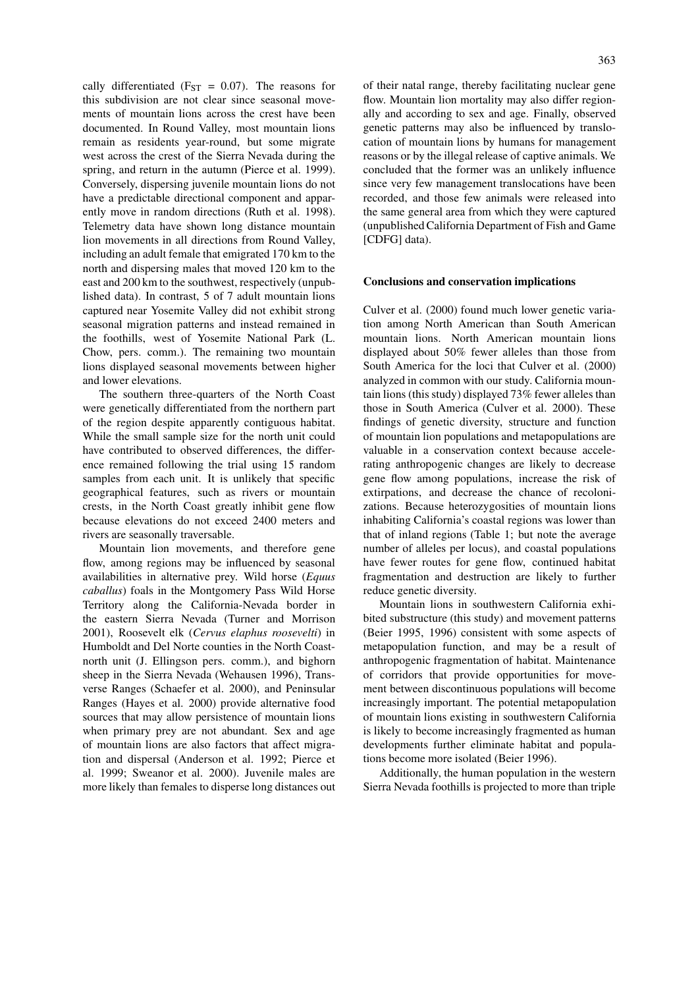cally differentiated ( $F_{ST}$  = 0.07). The reasons for this subdivision are not clear since seasonal movements of mountain lions across the crest have been documented. In Round Valley, most mountain lions remain as residents year-round, but some migrate west across the crest of the Sierra Nevada during the spring, and return in the autumn (Pierce et al. 1999). Conversely, dispersing juvenile mountain lions do not have a predictable directional component and apparently move in random directions (Ruth et al. 1998). Telemetry data have shown long distance mountain lion movements in all directions from Round Valley, including an adult female that emigrated 170 km to the north and dispersing males that moved 120 km to the east and 200 km to the southwest, respectively (unpublished data). In contrast, 5 of 7 adult mountain lions captured near Yosemite Valley did not exhibit strong seasonal migration patterns and instead remained in the foothills, west of Yosemite National Park (L. Chow, pers. comm.). The remaining two mountain lions displayed seasonal movements between higher and lower elevations.

The southern three-quarters of the North Coast were genetically differentiated from the northern part of the region despite apparently contiguous habitat. While the small sample size for the north unit could have contributed to observed differences, the difference remained following the trial using 15 random samples from each unit. It is unlikely that specific geographical features, such as rivers or mountain crests, in the North Coast greatly inhibit gene flow because elevations do not exceed 2400 meters and rivers are seasonally traversable.

Mountain lion movements, and therefore gene flow, among regions may be influenced by seasonal availabilities in alternative prey. Wild horse (*Equus caballus*) foals in the Montgomery Pass Wild Horse Territory along the California-Nevada border in the eastern Sierra Nevada (Turner and Morrison 2001), Roosevelt elk (*Cervus elaphus roosevelti*) in Humboldt and Del Norte counties in the North Coastnorth unit (J. Ellingson pers. comm.), and bighorn sheep in the Sierra Nevada (Wehausen 1996), Transverse Ranges (Schaefer et al. 2000), and Peninsular Ranges (Hayes et al. 2000) provide alternative food sources that may allow persistence of mountain lions when primary prey are not abundant. Sex and age of mountain lions are also factors that affect migration and dispersal (Anderson et al. 1992; Pierce et al. 1999; Sweanor et al. 2000). Juvenile males are more likely than females to disperse long distances out of their natal range, thereby facilitating nuclear gene flow. Mountain lion mortality may also differ regionally and according to sex and age. Finally, observed genetic patterns may also be influenced by translocation of mountain lions by humans for management reasons or by the illegal release of captive animals. We concluded that the former was an unlikely influence since very few management translocations have been recorded, and those few animals were released into the same general area from which they were captured (unpublished California Department of Fish and Game [CDFG] data).

#### **Conclusions and conservation implications**

Culver et al. (2000) found much lower genetic variation among North American than South American mountain lions. North American mountain lions displayed about 50% fewer alleles than those from South America for the loci that Culver et al. (2000) analyzed in common with our study. California mountain lions (this study) displayed 73% fewer alleles than those in South America (Culver et al. 2000). These findings of genetic diversity, structure and function of mountain lion populations and metapopulations are valuable in a conservation context because accelerating anthropogenic changes are likely to decrease gene flow among populations, increase the risk of extirpations, and decrease the chance of recolonizations. Because heterozygosities of mountain lions inhabiting California's coastal regions was lower than that of inland regions (Table 1; but note the average number of alleles per locus), and coastal populations have fewer routes for gene flow, continued habitat fragmentation and destruction are likely to further reduce genetic diversity.

Mountain lions in southwestern California exhibited substructure (this study) and movement patterns (Beier 1995, 1996) consistent with some aspects of metapopulation function, and may be a result of anthropogenic fragmentation of habitat. Maintenance of corridors that provide opportunities for movement between discontinuous populations will become increasingly important. The potential metapopulation of mountain lions existing in southwestern California is likely to become increasingly fragmented as human developments further eliminate habitat and populations become more isolated (Beier 1996).

Additionally, the human population in the western Sierra Nevada foothills is projected to more than triple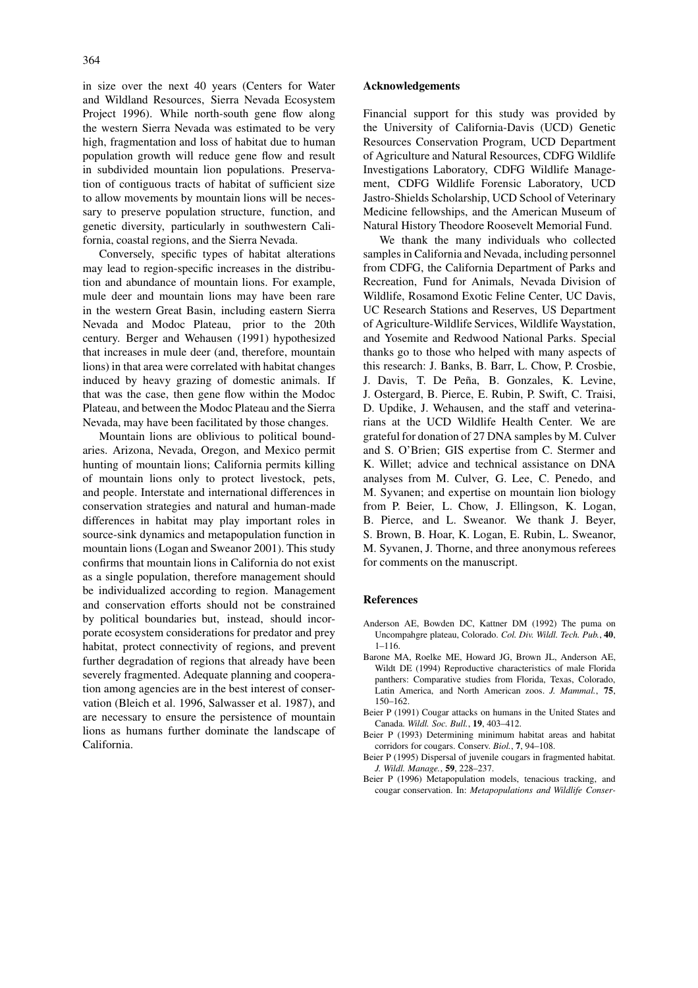in size over the next 40 years (Centers for Water and Wildland Resources, Sierra Nevada Ecosystem Project 1996). While north-south gene flow along the western Sierra Nevada was estimated to be very high, fragmentation and loss of habitat due to human population growth will reduce gene flow and result in subdivided mountain lion populations. Preservation of contiguous tracts of habitat of sufficient size to allow movements by mountain lions will be necessary to preserve population structure, function, and genetic diversity, particularly in southwestern California, coastal regions, and the Sierra Nevada.

Conversely, specific types of habitat alterations may lead to region-specific increases in the distribution and abundance of mountain lions. For example, mule deer and mountain lions may have been rare in the western Great Basin, including eastern Sierra Nevada and Modoc Plateau, prior to the 20th century. Berger and Wehausen (1991) hypothesized that increases in mule deer (and, therefore, mountain lions) in that area were correlated with habitat changes induced by heavy grazing of domestic animals. If that was the case, then gene flow within the Modoc Plateau, and between the Modoc Plateau and the Sierra Nevada, may have been facilitated by those changes.

Mountain lions are oblivious to political boundaries. Arizona, Nevada, Oregon, and Mexico permit hunting of mountain lions; California permits killing of mountain lions only to protect livestock, pets, and people. Interstate and international differences in conservation strategies and natural and human-made differences in habitat may play important roles in source-sink dynamics and metapopulation function in mountain lions (Logan and Sweanor 2001). This study confirms that mountain lions in California do not exist as a single population, therefore management should be individualized according to region. Management and conservation efforts should not be constrained by political boundaries but, instead, should incorporate ecosystem considerations for predator and prey habitat, protect connectivity of regions, and prevent further degradation of regions that already have been severely fragmented. Adequate planning and cooperation among agencies are in the best interest of conservation (Bleich et al. 1996, Salwasser et al. 1987), and are necessary to ensure the persistence of mountain lions as humans further dominate the landscape of California.

# **Acknowledgements**

Financial support for this study was provided by the University of California-Davis (UCD) Genetic Resources Conservation Program, UCD Department of Agriculture and Natural Resources, CDFG Wildlife Investigations Laboratory, CDFG Wildlife Management, CDFG Wildlife Forensic Laboratory, UCD Jastro-Shields Scholarship, UCD School of Veterinary Medicine fellowships, and the American Museum of Natural History Theodore Roosevelt Memorial Fund.

We thank the many individuals who collected samples in California and Nevada, including personnel from CDFG, the California Department of Parks and Recreation, Fund for Animals, Nevada Division of Wildlife, Rosamond Exotic Feline Center, UC Davis, UC Research Stations and Reserves, US Department of Agriculture-Wildlife Services, Wildlife Waystation, and Yosemite and Redwood National Parks. Special thanks go to those who helped with many aspects of this research: J. Banks, B. Barr, L. Chow, P. Crosbie, J. Davis, T. De Peña, B. Gonzales, K. Levine, J. Ostergard, B. Pierce, E. Rubin, P. Swift, C. Traisi, D. Updike, J. Wehausen, and the staff and veterinarians at the UCD Wildlife Health Center. We are grateful for donation of 27 DNA samples by M. Culver and S. O'Brien; GIS expertise from C. Stermer and K. Willet; advice and technical assistance on DNA analyses from M. Culver, G. Lee, C. Penedo, and M. Syvanen; and expertise on mountain lion biology from P. Beier, L. Chow, J. Ellingson, K. Logan, B. Pierce, and L. Sweanor. We thank J. Beyer, S. Brown, B. Hoar, K. Logan, E. Rubin, L. Sweanor, M. Syvanen, J. Thorne, and three anonymous referees for comments on the manuscript.

# **References**

- Anderson AE, Bowden DC, Kattner DM (1992) The puma on Uncompahgre plateau, Colorado. *Col. Div. Wildl. Tech. Pub.*, **40**, 1–116.
- Barone MA, Roelke ME, Howard JG, Brown JL, Anderson AE, Wildt DE (1994) Reproductive characteristics of male Florida panthers: Comparative studies from Florida, Texas, Colorado, Latin America, and North American zoos. *J. Mammal.*, **75**, 150–162.
- Beier P (1991) Cougar attacks on humans in the United States and Canada. *Wildl. Soc. Bull.*, **19**, 403–412.
- Beier P (1993) Determining minimum habitat areas and habitat corridors for cougars. Conserv. *Biol.*, **7**, 94–108.
- Beier P (1995) Dispersal of juvenile cougars in fragmented habitat. *J. Wildl. Manage.*, **59**, 228–237.
- Beier P (1996) Metapopulation models, tenacious tracking, and cougar conservation. In: *Metapopulations and Wildlife Conser-*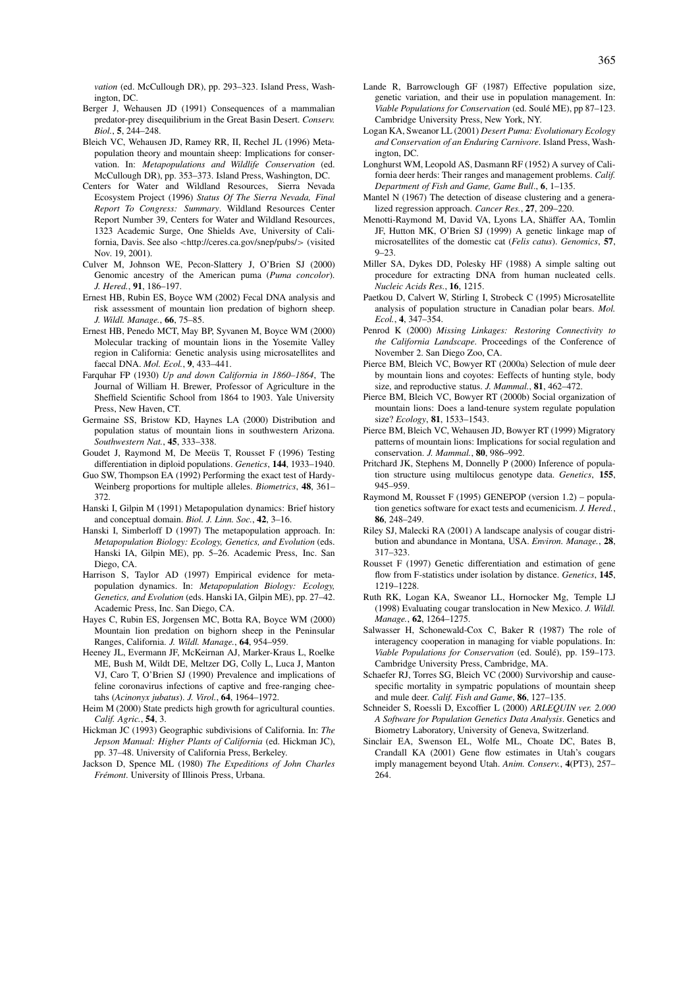*vation* (ed. McCullough DR), pp. 293–323. Island Press, Washington, DC.

- Berger J, Wehausen JD (1991) Consequences of a mammalian predator-prey disequilibrium in the Great Basin Desert. *Conserv. Biol.*, **5**, 244–248.
- Bleich VC, Wehausen JD, Ramey RR, II, Rechel JL (1996) Metapopulation theory and mountain sheep: Implications for conservation. In: *Metapopulations and Wildlife Conservation* (ed. McCullough DR), pp. 353–373. Island Press, Washington, DC.
- Centers for Water and Wildland Resources, Sierra Nevada Ecosystem Project (1996) *Status Of The Sierra Nevada, Final Report To Congress: Summary*. Wildland Resources Center Report Number 39, Centers for Water and Wildland Resources, 1323 Academic Surge, One Shields Ave, University of California, Davis. See also *<*[http://ceres.ca.gov/snep/pubs/](http://ceres.ca.gov/snep/pubs)*>* (visited Nov. 19, 2001).
- Culver M, Johnson WE, Pecon-Slattery J, O'Brien SJ (2000) Genomic ancestry of the American puma (*Puma concolor*). *J. Hered.*, **91**, 186–197.
- Ernest HB, Rubin ES, Boyce WM (2002) Fecal DNA analysis and risk assessment of mountain lion predation of bighorn sheep. *J. Wildl. Manage.*, **66**, 75–85.
- Ernest HB, Penedo MCT, May BP, Syvanen M, Boyce WM (2000) Molecular tracking of mountain lions in the Yosemite Valley region in California: Genetic analysis using microsatellites and faecal DNA. *Mol. Ecol.*, **9**, 433–441.
- Farquhar FP (1930) *Up and down California in 1860–1864*, The Journal of William H. Brewer, Professor of Agriculture in the Sheffield Scientific School from 1864 to 1903. Yale University Press, New Haven, CT.
- Germaine SS, Bristow KD, Haynes LA (2000) Distribution and population status of mountain lions in southwestern Arizona. *Southwestern Nat.*, **45**, 333–338.
- Goudet J, Raymond M, De Meeüs T, Rousset F (1996) Testing differentiation in diploid populations. *Genetics*, **144**, 1933–1940.
- Guo SW, Thompson EA (1992) Performing the exact test of Hardy-Weinberg proportions for multiple alleles. *Biometrics*, **48**, 361– 372.
- Hanski I, Gilpin M (1991) Metapopulation dynamics: Brief history and conceptual domain. *Biol. J. Linn. Soc.*, **42**, 3–16.
- Hanski I, Simberloff D (1997) The metapopulation approach. In: *Metapopulation Biology: Ecology, Genetics, and Evolution* (eds. Hanski IA, Gilpin ME), pp. 5–26. Academic Press, Inc. San Diego, CA.
- Harrison S, Taylor AD (1997) Empirical evidence for metapopulation dynamics. In: *Metapopulation Biology: Ecology, Genetics, and Evolution* (eds. Hanski IA, Gilpin ME), pp. 27–42. Academic Press, Inc. San Diego, CA.
- Hayes C, Rubin ES, Jorgensen MC, Botta RA, Boyce WM (2000) Mountain lion predation on bighorn sheep in the Peninsular Ranges, California. *J. Wildl. Manage.*, **64**, 954–959.
- Heeney JL, Evermann JF, McKeirnan AJ, Marker-Kraus L, Roelke ME, Bush M, Wildt DE, Meltzer DG, Colly L, Luca J, Manton VJ, Caro T, O'Brien SJ (1990) Prevalence and implications of feline coronavirus infections of captive and free-ranging cheetahs (*Acinonyx jubatus*). *J. Virol.*, **64**, 1964–1972.
- Heim M (2000) State predicts high growth for agricultural counties. *Calif. Agric.*, **54**, 3.
- Hickman JC (1993) Geographic subdivisions of California. In: *The Jepson Manual: Higher Plants of California* (ed. Hickman JC), pp. 37–48. University of California Press, Berkeley.
- Jackson D, Spence ML (1980) *The Expeditions of John Charles Frémont*. University of Illinois Press, Urbana.
- Lande R, Barrowclough GF (1987) Effective population size, genetic variation, and their use in population management. In: *Viable Populations for Conservation* (ed. Soulé ME), pp 87–123. Cambridge University Press, New York, NY.
- Logan KA, Sweanor LL (2001) *Desert Puma: Evolutionary Ecology and Conservation of an Enduring Carnivore*. Island Press, Washington, DC.
- Longhurst WM, Leopold AS, Dasmann RF (1952) A survey of California deer herds: Their ranges and management problems. *Calif. Department of Fish and Game, Game Bull*., **6**, 1–135.
- Mantel N (1967) The detection of disease clustering and a generalized regression approach. *Cancer Res.*, **27**, 209–220.
- Menotti-Raymond M, David VA, Lyons LA, Shäffer AA, Tomlin JF, Hutton MK, O'Brien SJ (1999) A genetic linkage map of microsatellites of the domestic cat (*Felis catus*). *Genomics*, **57**, 9–23.
- Miller SA, Dykes DD, Polesky HF (1988) A simple salting out procedure for extracting DNA from human nucleated cells. *Nucleic Acids Res.*, **16**, 1215.
- Paetkou D, Calvert W, Stirling I, Strobeck C (1995) Microsatellite analysis of population structure in Canadian polar bears. *Mol. Ecol.*, **4**, 347–354.
- Penrod K (2000) *Missing Linkages: Restoring Connectivity to the California Landscape*. Proceedings of the Conference of November 2. San Diego Zoo, CA.
- Pierce BM, Bleich VC, Bowyer RT (2000a) Selection of mule deer by mountain lions and coyotes: Eeffects of hunting style, body size, and reproductive status. *J. Mammal.*, **81**, 462–472.
- Pierce BM, Bleich VC, Bowyer RT (2000b) Social organization of mountain lions: Does a land-tenure system regulate population size? *Ecology*, **81**, 1533–1543.
- Pierce BM, Bleich VC, Wehausen JD, Bowyer RT (1999) Migratory patterns of mountain lions: Implications for social regulation and conservation. *J. Mammal.*, **80**, 986–992.
- Pritchard JK, Stephens M, Donnelly P (2000) Inference of population structure using multilocus genotype data. *Genetics*, **155**, 945–959.
- Raymond M, Rousset F (1995) GENEPOP (version 1.2) population genetics software for exact tests and ecumenicism. *J. Hered.*, **86**, 248–249.
- Riley SJ, Malecki RA (2001) A landscape analysis of cougar distribution and abundance in Montana, USA. *Environ. Manage.*, **28**, 317–323.
- Rousset F (1997) Genetic differentiation and estimation of gene flow from F-statistics under isolation by distance. *Genetics*, **145**, 1219–1228.
- Ruth RK, Logan KA, Sweanor LL, Hornocker Mg, Temple LJ (1998) Evaluating cougar translocation in New Mexico. *J. Wildl. Manage.*, **62**, 1264–1275.
- Salwasser H, Schonewald-Cox C, Baker R (1987) The role of interagency cooperation in managing for viable populations. In: *Viable Populations for Conservation* (ed. Soulé), pp. 159–173. Cambridge University Press, Cambridge, MA.
- Schaefer RJ, Torres SG, Bleich VC (2000) Survivorship and causespecific mortality in sympatric populations of mountain sheep and mule deer. *Calif. Fish and Game*, **86**, 127–135.
- Schneider S, Roessli D, Excoffier L (2000) *ARLEQUIN ver. 2.000 A Software for Population Genetics Data Analysis*. Genetics and Biometry Laboratory, University of Geneva, Switzerland.
- Sinclair EA, Swenson EL, Wolfe ML, Choate DC, Bates B, Crandall KA (2001) Gene flow estimates in Utah's cougars imply management beyond Utah. *Anim. Conserv.*, **4**(PT3), 257– 264.